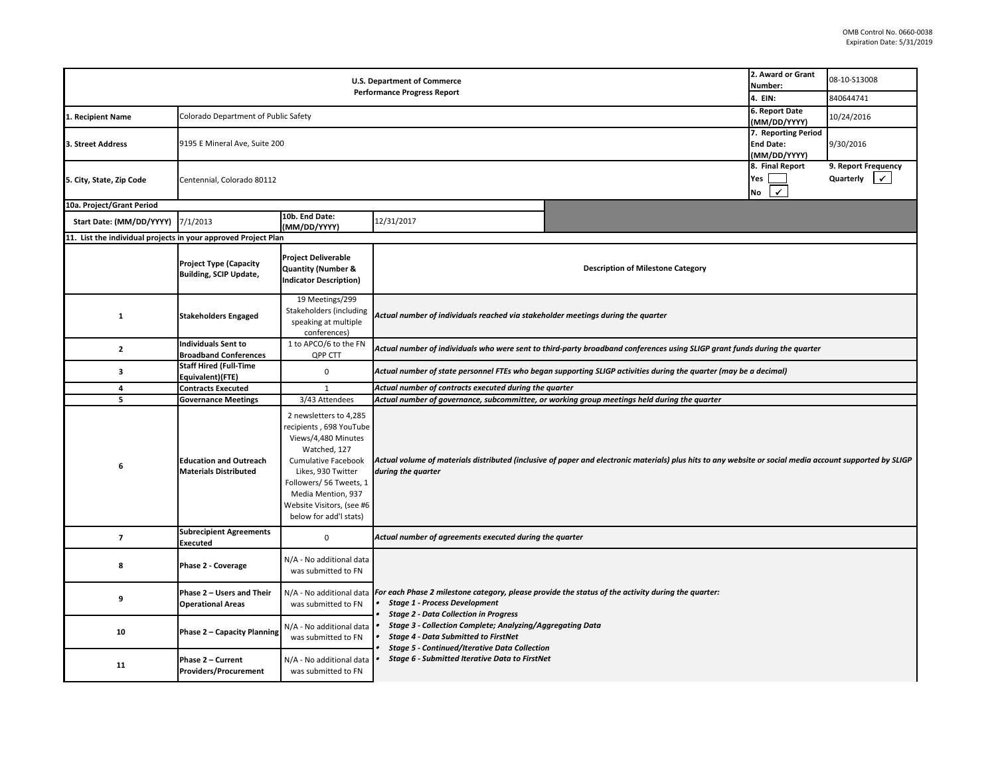|                                                                |                                                                |                                                                                                                                                                                                                                                      | <b>U.S. Department of Commerce</b><br><b>Performance Progress Report</b>                                                                                            | 2. Award or Grant<br>Number:<br>4. EIN:                                                                                                                  | 08-10-S13008<br>840644741                               |                                                  |  |  |
|----------------------------------------------------------------|----------------------------------------------------------------|------------------------------------------------------------------------------------------------------------------------------------------------------------------------------------------------------------------------------------------------------|---------------------------------------------------------------------------------------------------------------------------------------------------------------------|----------------------------------------------------------------------------------------------------------------------------------------------------------|---------------------------------------------------------|--------------------------------------------------|--|--|
| 1. Recipient Name                                              | Colorado Department of Public Safety                           |                                                                                                                                                                                                                                                      |                                                                                                                                                                     |                                                                                                                                                          | 6. Report Date<br>(MM/DD/YYYY)                          | 10/24/2016                                       |  |  |
| 3. Street Address                                              | 9195 E Mineral Ave, Suite 200                                  |                                                                                                                                                                                                                                                      |                                                                                                                                                                     |                                                                                                                                                          | 7. Reporting Period<br><b>End Date:</b><br>(MM/DD/YYYY) | 9/30/2016                                        |  |  |
| 5. City, State, Zip Code                                       | Centennial, Colorado 80112                                     |                                                                                                                                                                                                                                                      |                                                                                                                                                                     |                                                                                                                                                          | 8. Final Report<br>Yes<br>$\checkmark$<br>No            | 9. Report Frequency<br>Quarterly<br>$\checkmark$ |  |  |
| 10a. Project/Grant Period                                      |                                                                |                                                                                                                                                                                                                                                      |                                                                                                                                                                     |                                                                                                                                                          |                                                         |                                                  |  |  |
| Start Date: (MM/DD/YYYY)                                       | 7/1/2013                                                       | 10b. End Date:<br>(MM/DD/YYYY)                                                                                                                                                                                                                       | 12/31/2017                                                                                                                                                          |                                                                                                                                                          |                                                         |                                                  |  |  |
| 11. List the individual projects in your approved Project Plan |                                                                |                                                                                                                                                                                                                                                      |                                                                                                                                                                     |                                                                                                                                                          |                                                         |                                                  |  |  |
|                                                                | <b>Project Type (Capacity</b><br><b>Building, SCIP Update,</b> | <b>Project Deliverable</b><br><b>Quantity (Number &amp;</b><br><b>Indicator Description)</b>                                                                                                                                                         |                                                                                                                                                                     | <b>Description of Milestone Category</b>                                                                                                                 |                                                         |                                                  |  |  |
| 1                                                              | <b>Stakeholders Engaged</b>                                    | 19 Meetings/299<br>Stakeholders (including<br>speaking at multiple<br>conferences)                                                                                                                                                                   |                                                                                                                                                                     | Actual number of individuals reached via stakeholder meetings during the quarter                                                                         |                                                         |                                                  |  |  |
| $\overline{2}$                                                 | <b>Individuals Sent to</b><br><b>Broadband Conferences</b>     | 1 to APCO/6 to the FN<br>QPP CTT                                                                                                                                                                                                                     | Actual number of individuals who were sent to third-party broadband conferences using SLIGP grant funds during the quarter                                          |                                                                                                                                                          |                                                         |                                                  |  |  |
| 3                                                              | <b>Staff Hired (Full-Time</b><br>Equivalent)(FTE)              | 0                                                                                                                                                                                                                                                    | Actual number of state personnel FTEs who began supporting SLIGP activities during the quarter (may be a decimal)                                                   |                                                                                                                                                          |                                                         |                                                  |  |  |
| 4                                                              | <b>Contracts Executed</b>                                      | 1                                                                                                                                                                                                                                                    | Actual number of contracts executed during the quarter                                                                                                              |                                                                                                                                                          |                                                         |                                                  |  |  |
| 5                                                              | <b>Governance Meetings</b>                                     | 3/43 Attendees                                                                                                                                                                                                                                       |                                                                                                                                                                     | Actual number of governance, subcommittee, or working group meetings held during the quarter                                                             |                                                         |                                                  |  |  |
| 6                                                              | <b>Education and Outreach</b><br><b>Materials Distributed</b>  | 2 newsletters to 4,285<br>recipients, 698 YouTube<br>Views/4,480 Minutes<br>Watched, 127<br><b>Cumulative Facebook</b><br>Likes, 930 Twitter<br>Followers/ 56 Tweets, 1<br>Media Mention, 937<br>Website Visitors, (see #6<br>below for add'l stats) | during the quarter                                                                                                                                                  | Actual volume of materials distributed (inclusive of paper and electronic materials) plus hits to any website or social media account supported by SLIGP |                                                         |                                                  |  |  |
| $\overline{7}$                                                 | <b>Subrecipient Agreements</b><br>Executed                     | 0                                                                                                                                                                                                                                                    | Actual number of agreements executed during the quarter                                                                                                             |                                                                                                                                                          |                                                         |                                                  |  |  |
| 8                                                              | Phase 2 - Coverage                                             | N/A - No additional data<br>was submitted to FN                                                                                                                                                                                                      |                                                                                                                                                                     |                                                                                                                                                          |                                                         |                                                  |  |  |
| 9                                                              | Phase 2 - Users and Their<br><b>Operational Areas</b>          | was submitted to FN                                                                                                                                                                                                                                  | N/A - No additional data For each Phase 2 milestone category, please provide the status of the activity during the quarter:<br><b>Stage 1 - Process Development</b> |                                                                                                                                                          |                                                         |                                                  |  |  |
| 10                                                             | Phase 2 - Capacity Planning                                    | N/A - No additional data<br>was submitted to FN                                                                                                                                                                                                      | <b>Stage 2 - Data Collection in Progress</b><br>Stage 3 - Collection Complete; Analyzing/Aggregating Data<br><b>Stage 4 - Data Submitted to FirstNet</b>            |                                                                                                                                                          |                                                         |                                                  |  |  |
| 11                                                             | Phase 2 - Current<br><b>Providers/Procurement</b>              | N/A - No additional data<br>was submitted to FN                                                                                                                                                                                                      | <b>Stage 5 - Continued/Iterative Data Collection</b><br>Stage 6 - Submitted Iterative Data to FirstNet                                                              |                                                                                                                                                          |                                                         |                                                  |  |  |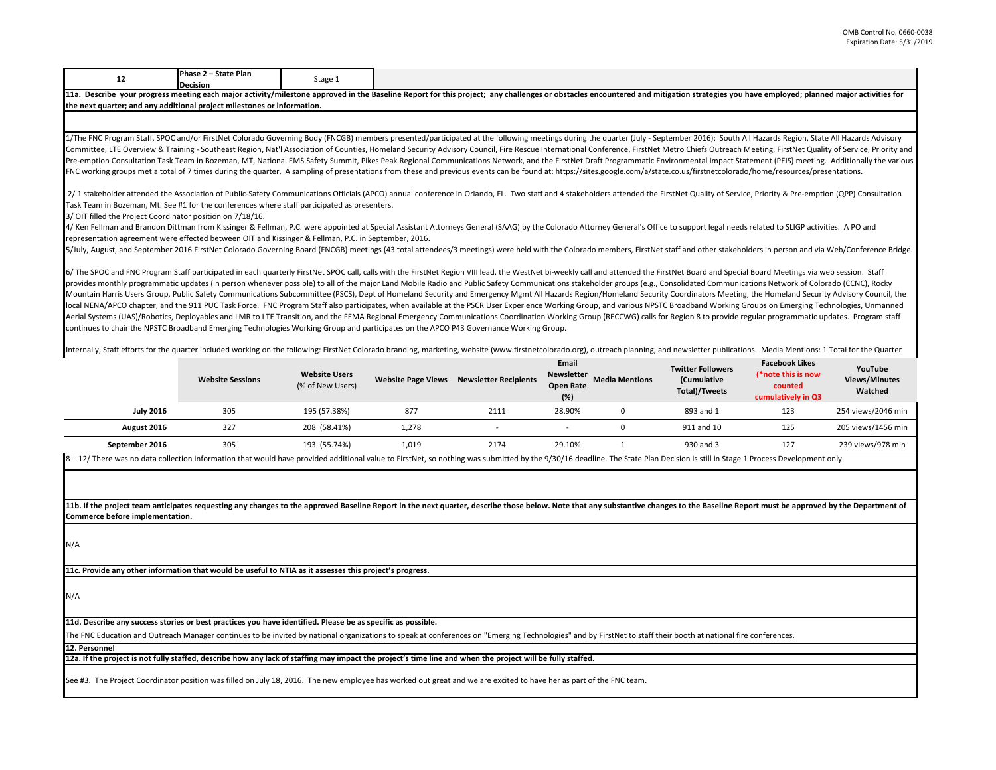|--|--|--|

11a. Describe your progress meeting each major activity/milestone approved in the Baseline Report for this project; any challenges or obstacles encountered and mitigation strategies you have employed; planned major activit **the next quarter; and any additional project milestones or information.** 

1/The FNC Program Staff, SPOC and/or FirstNet Colorado Governing Body (FNCGB) members presented/participated at the following meetings during the quarter (July - September 2016): South All Hazards Region, State All Hazards Committee, LTE Overview & Training - Southeast Region, Nat'l Association of Counties, Homeland Security Advisory Council, Fire Rescue International Conference, FirstNet Metro Chiefs Outreach Meeting, FirstNet Quality of Se Pre-emption Consultation Task Team in Bozeman, MT, National EMS Safety Summit, Pikes Peak Regional Communications Network, and the FirstNet Draft Programmatic Environmental Impact Statement (PEIS) meeting. Additionally the FNC working groups met a total of 7 times during the quarter. A sampling of presentations from these and previous events can be found at: https://sites.google.com/a/state.co.us/firstnetcolorado/home/resources/presentations.

2/ 1 stakeholder attended the Association of Public-Safety Communications Officials (APCO) annual conference in Orlando, FL. Two staff and 4 stakeholders attended the FirstNet Quality of Service, Priority & Pre-emption (QP Task Team in Bozeman, Mt. See #1 for the conferences where staff participated as presenters.

3/ OIT filled the Project Coordinator position on 7/18/16.

4/ Ken Fellman and Brandon Dittman from Kissinger & Fellman, P.C. were appointed at Special Assistant Attorneys General (SAAG) by the Colorado Attorney General's Office to support legal needs related to SLIGP activities. A representation agreement were effected between OIT and Kissinger & Fellman, P.C. in September, 2016.

5/July, August, and September 2016 FirstNet Colorado Governing Board (FNCGB) meetings (43 total attendees/3 meetings) were held with the Colorado members, FirstNet staff and other stakeholders in person and via Web/Confere

6/ The SPOC and FNC Program Staff participated in each quarterly FirstNet SPOC call, calls with the FirstNet Region VIII lead, the WestNet bi-weekly call and attended the FirstNet Board and Special Board Meetings via web s provides monthly programmatic updates (in person whenever possible) to all of the major Land Mobile Radio and Public Safety Communications stakeholder groups (e.g., Consolidated Communications Network of Colorado (CCNC), R Mountain Harris Users Group, Public Safety Communications Subcommittee (PSCS), Dept of Homeland Security and Emergency Mgmt All Hazards Region/Homeland Security Coordinators Meeting, the Homeland Security Advisory Council, local NENA/APCO chapter, and the 911 PUC Task Force. FNC Program Staff also participates, when available at the PSCR User Experience Working Group, and various NPSTC Broadband Working Groups on Emerging Technologies, Unman Aerial Systems (UAS)/Robotics, Deployables and LMR to LTE Transition, and the FEMA Regional Emergency Communications Coordination Working Group (RECCWG) calls for Region 8 to provide regular programmatic updates. Program s continues to chair the NPSTC Broadband Emerging Technologies Working Group and participates on the APCO P43 Governance Working Group.

Internally, Staff efforts for the quarter included working on the following: FirstNet Colorado branding, marketing, website (www.firstnetcolorado.org), outreach planning, and newsletter publications. Media Mentions: 1 Tota

|                  | <b>Website Sessions</b> | <b>Website Users</b><br>(% of New Users) | <b>Website Page Views</b> | <b>Newsletter Recipients</b> | Email<br><b>Newsletter</b><br><b>Open Rate</b><br>(%) | <b>Media Mentions</b> | <b>Twitter Followers</b><br>(Cumulative<br>Total)/Tweets | <b>Facebook Likes</b><br>(*note this is now<br>counted<br>cumulatively in Q3 | YouTube<br><b>Views/Minutes</b><br>Watched |
|------------------|-------------------------|------------------------------------------|---------------------------|------------------------------|-------------------------------------------------------|-----------------------|----------------------------------------------------------|------------------------------------------------------------------------------|--------------------------------------------|
| <b>July 2016</b> | 305                     | 195 (57.38%)                             | 877                       | 2111                         | 28.90%                                                |                       | 893 and 1                                                | 123                                                                          | 254 views/2046 min                         |
| August 2016      | 327                     | 208 (58.41%)                             | 1,278                     |                              |                                                       |                       | 911 and 10                                               | 125                                                                          | 205 views/1456 min                         |
| September 2016   | 305                     | 193 (55.74%)                             | 1,019                     | 2174                         | 29.10%                                                |                       | 930 and 3                                                | 127                                                                          | 239 views/978 min                          |

 $8 - 12$ / There was no data collection information that would have provided additional value to FirstNet, so nothing was submitted by the 9/30/16 deadline. The State Plan Decision is still in Stage 1 Process Development on

11b. If the project team anticipates requesting any changes to the approved Baseline Report in the next quarter, describe those below. Note that any substantive changes to the Baseline Report must be approved by the Depart **Commerce before implementation.** 

N/A

**11c. Provide any other information that would be useful to NTIA as it assesses this project's progress.** 

N/A

**11d. Describe any success stories or best practices you have identified. Please be as specific as possible.**

The FNC Education and Outreach Manager continues to be invited by national organizations to speak at conferences on "Emerging Technologies" and by FirstNet to staff their booth at national fire conferences.

**12. Personnel** 

**12a. If the project is not fully staffed, describe how any lack of staffing may impact the project's time line and when the project will be fully staffed.**

See #3. The Project Coordinator position was filled on July 18, 2016. The new employee has worked out great and we are excited to have her as part of the FNC team.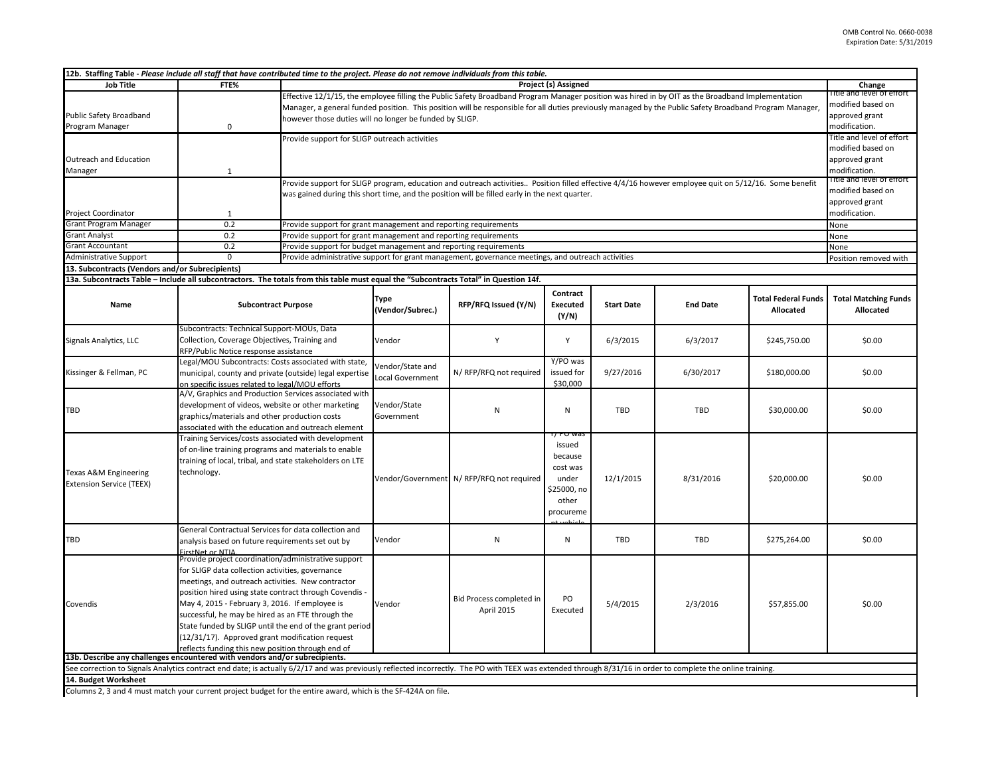| 12b. Staffing Table - Please include all staff that have contributed time to the project. Please do not remove individuals from this table.                                                                                         |                                                                                                                                                             |                                                                                                                                                         |                                                                                                                                                                                                                                                                                                         |                                                                                                   |                 |                   |                 |                            |                             |  |
|-------------------------------------------------------------------------------------------------------------------------------------------------------------------------------------------------------------------------------------|-------------------------------------------------------------------------------------------------------------------------------------------------------------|---------------------------------------------------------------------------------------------------------------------------------------------------------|---------------------------------------------------------------------------------------------------------------------------------------------------------------------------------------------------------------------------------------------------------------------------------------------------------|---------------------------------------------------------------------------------------------------|-----------------|-------------------|-----------------|----------------------------|-----------------------------|--|
| <b>Job Title</b>                                                                                                                                                                                                                    | FTE%                                                                                                                                                        | Project (s) Assigned                                                                                                                                    |                                                                                                                                                                                                                                                                                                         |                                                                                                   |                 |                   |                 |                            | Change                      |  |
|                                                                                                                                                                                                                                     |                                                                                                                                                             |                                                                                                                                                         | Effective 12/1/15, the employee filling the Public Safety Broadband Program Manager position was hired in by OIT as the Broadband Implementation                                                                                                                                                        |                                                                                                   |                 |                   |                 |                            | litle and level of effort   |  |
|                                                                                                                                                                                                                                     |                                                                                                                                                             | Manager, a general funded position. This position will be responsible for all duties previously managed by the Public Safety Broadband Program Manager, |                                                                                                                                                                                                                                                                                                         |                                                                                                   |                 |                   |                 |                            | modified based on           |  |
| Public Safety Broadband                                                                                                                                                                                                             |                                                                                                                                                             |                                                                                                                                                         | approved grant<br>however those duties will no longer be funded by SLIGP.                                                                                                                                                                                                                               |                                                                                                   |                 |                   |                 |                            |                             |  |
| Program Manager                                                                                                                                                                                                                     | $\mathbf 0$                                                                                                                                                 |                                                                                                                                                         | modification.                                                                                                                                                                                                                                                                                           |                                                                                                   |                 |                   |                 |                            |                             |  |
|                                                                                                                                                                                                                                     |                                                                                                                                                             |                                                                                                                                                         | Provide support for SLIGP outreach activities                                                                                                                                                                                                                                                           |                                                                                                   |                 |                   |                 |                            | Title and level of effort   |  |
|                                                                                                                                                                                                                                     |                                                                                                                                                             |                                                                                                                                                         |                                                                                                                                                                                                                                                                                                         |                                                                                                   |                 |                   |                 |                            | modified based on           |  |
| Outreach and Education                                                                                                                                                                                                              |                                                                                                                                                             |                                                                                                                                                         |                                                                                                                                                                                                                                                                                                         |                                                                                                   |                 |                   |                 |                            | approved grant              |  |
| Manager                                                                                                                                                                                                                             | 1                                                                                                                                                           |                                                                                                                                                         | modification.                                                                                                                                                                                                                                                                                           |                                                                                                   |                 |                   |                 |                            |                             |  |
|                                                                                                                                                                                                                                     |                                                                                                                                                             |                                                                                                                                                         | litie and level of effort<br>Provide support for SLIGP program, education and outreach activities Position filled effective 4/4/16 however employee quit on 5/12/16. Some benefit<br>modified based on<br>was gained during this short time, and the position will be filled early in the next quarter. |                                                                                                   |                 |                   |                 |                            |                             |  |
|                                                                                                                                                                                                                                     |                                                                                                                                                             |                                                                                                                                                         |                                                                                                                                                                                                                                                                                                         |                                                                                                   |                 |                   |                 |                            |                             |  |
|                                                                                                                                                                                                                                     |                                                                                                                                                             |                                                                                                                                                         | approved grant                                                                                                                                                                                                                                                                                          |                                                                                                   |                 |                   |                 |                            |                             |  |
| Project Coordinator                                                                                                                                                                                                                 | 1                                                                                                                                                           |                                                                                                                                                         | modification.                                                                                                                                                                                                                                                                                           |                                                                                                   |                 |                   |                 |                            |                             |  |
| <b>Grant Program Manager</b>                                                                                                                                                                                                        | 0.2                                                                                                                                                         | Provide support for grant management and reporting requirements                                                                                         |                                                                                                                                                                                                                                                                                                         |                                                                                                   |                 |                   |                 |                            | None                        |  |
| <b>Grant Analyst</b>                                                                                                                                                                                                                | 0.2                                                                                                                                                         | Provide support for grant management and reporting requirements                                                                                         |                                                                                                                                                                                                                                                                                                         |                                                                                                   |                 |                   |                 |                            | None                        |  |
| <b>Grant Accountant</b>                                                                                                                                                                                                             | 0.2                                                                                                                                                         | Provide support for budget management and reporting requirements                                                                                        |                                                                                                                                                                                                                                                                                                         |                                                                                                   |                 |                   |                 |                            | None                        |  |
| Administrative Support                                                                                                                                                                                                              | $\mathbf 0$                                                                                                                                                 |                                                                                                                                                         |                                                                                                                                                                                                                                                                                                         | Provide administrative support for grant management, governance meetings, and outreach activities |                 |                   |                 |                            | Position removed with       |  |
| 13. Subcontracts (Vendors and/or Subrecipients)                                                                                                                                                                                     |                                                                                                                                                             |                                                                                                                                                         |                                                                                                                                                                                                                                                                                                         |                                                                                                   |                 |                   |                 |                            |                             |  |
| 13a. Subcontracts Table - Include all subcontractors. The totals from this table must equal the "Subcontracts Total" in Question 14f.                                                                                               |                                                                                                                                                             |                                                                                                                                                         |                                                                                                                                                                                                                                                                                                         |                                                                                                   |                 |                   |                 |                            |                             |  |
|                                                                                                                                                                                                                                     |                                                                                                                                                             |                                                                                                                                                         | Type                                                                                                                                                                                                                                                                                                    |                                                                                                   | Contract        |                   |                 | <b>Total Federal Funds</b> | <b>Total Matching Funds</b> |  |
| Name                                                                                                                                                                                                                                | <b>Subcontract Purpose</b>                                                                                                                                  |                                                                                                                                                         | (Vendor/Subrec.)                                                                                                                                                                                                                                                                                        | RFP/RFQ Issued (Y/N)                                                                              | <b>Executed</b> | <b>Start Date</b> | <b>End Date</b> | Allocated                  | Allocated                   |  |
|                                                                                                                                                                                                                                     |                                                                                                                                                             |                                                                                                                                                         |                                                                                                                                                                                                                                                                                                         |                                                                                                   | (Y/N)           |                   |                 |                            |                             |  |
|                                                                                                                                                                                                                                     | Subcontracts: Technical Support-MOUs, Data                                                                                                                  |                                                                                                                                                         |                                                                                                                                                                                                                                                                                                         |                                                                                                   |                 |                   |                 |                            |                             |  |
| Signals Analytics, LLC                                                                                                                                                                                                              | Collection, Coverage Objectives, Training and                                                                                                               |                                                                                                                                                         | Vendor                                                                                                                                                                                                                                                                                                  | Y                                                                                                 | Y               | 6/3/2015          | 6/3/2017        | \$245,750.00               | \$0.00                      |  |
|                                                                                                                                                                                                                                     | RFP/Public Notice response assistance                                                                                                                       |                                                                                                                                                         |                                                                                                                                                                                                                                                                                                         |                                                                                                   |                 |                   |                 |                            |                             |  |
|                                                                                                                                                                                                                                     | Legal/MOU Subcontracts: Costs associated with state,                                                                                                        |                                                                                                                                                         | Vendor/State and                                                                                                                                                                                                                                                                                        |                                                                                                   | Y/PO was        |                   |                 |                            |                             |  |
| Kissinger & Fellman, PC                                                                                                                                                                                                             | municipal, county and private (outside) legal expertise                                                                                                     |                                                                                                                                                         | Local Government                                                                                                                                                                                                                                                                                        | N/ RFP/RFQ not required                                                                           | issued for      | 9/27/2016         | 6/30/2017       | \$180,000.00               | \$0.00                      |  |
|                                                                                                                                                                                                                                     | on specific issues related to legal/MOU efforts                                                                                                             |                                                                                                                                                         |                                                                                                                                                                                                                                                                                                         |                                                                                                   | \$30,000        |                   |                 |                            |                             |  |
|                                                                                                                                                                                                                                     | A/V, Graphics and Production Services associated with<br>development of videos, website or other marketing<br>graphics/materials and other production costs |                                                                                                                                                         |                                                                                                                                                                                                                                                                                                         | N                                                                                                 | N               | TBD               | <b>TBD</b>      | \$30,000.00                | \$0.00                      |  |
| <b>TBD</b>                                                                                                                                                                                                                          |                                                                                                                                                             |                                                                                                                                                         | Vendor/State                                                                                                                                                                                                                                                                                            |                                                                                                   |                 |                   |                 |                            |                             |  |
|                                                                                                                                                                                                                                     |                                                                                                                                                             |                                                                                                                                                         | Government                                                                                                                                                                                                                                                                                              |                                                                                                   |                 |                   |                 |                            |                             |  |
|                                                                                                                                                                                                                                     | associated with the education and outreach element                                                                                                          |                                                                                                                                                         |                                                                                                                                                                                                                                                                                                         |                                                                                                   | 77 PU W         |                   |                 |                            |                             |  |
|                                                                                                                                                                                                                                     | Training Services/costs associated with development                                                                                                         |                                                                                                                                                         |                                                                                                                                                                                                                                                                                                         |                                                                                                   | issued          |                   |                 |                            |                             |  |
|                                                                                                                                                                                                                                     | of on-line training programs and materials to enable<br>training of local, tribal, and state stakeholders on LTE<br>technology.                             |                                                                                                                                                         |                                                                                                                                                                                                                                                                                                         |                                                                                                   | because         |                   |                 |                            |                             |  |
|                                                                                                                                                                                                                                     |                                                                                                                                                             |                                                                                                                                                         |                                                                                                                                                                                                                                                                                                         |                                                                                                   | cost was        |                   |                 |                            |                             |  |
| Texas A&M Engineering                                                                                                                                                                                                               |                                                                                                                                                             |                                                                                                                                                         |                                                                                                                                                                                                                                                                                                         |                                                                                                   | under           | 12/1/2015         |                 |                            |                             |  |
| <b>Extension Service (TEEX)</b>                                                                                                                                                                                                     |                                                                                                                                                             |                                                                                                                                                         |                                                                                                                                                                                                                                                                                                         | Vendor/Government N/RFP/RFQ not required                                                          | \$25000, no     |                   | 8/31/2016       | \$20,000.00                | \$0.00                      |  |
|                                                                                                                                                                                                                                     |                                                                                                                                                             |                                                                                                                                                         |                                                                                                                                                                                                                                                                                                         |                                                                                                   | other           |                   |                 |                            |                             |  |
|                                                                                                                                                                                                                                     |                                                                                                                                                             |                                                                                                                                                         |                                                                                                                                                                                                                                                                                                         |                                                                                                   | procureme       |                   |                 |                            |                             |  |
|                                                                                                                                                                                                                                     |                                                                                                                                                             |                                                                                                                                                         |                                                                                                                                                                                                                                                                                                         |                                                                                                   |                 |                   |                 |                            |                             |  |
|                                                                                                                                                                                                                                     | General Contractual Services for data collection and                                                                                                        |                                                                                                                                                         |                                                                                                                                                                                                                                                                                                         |                                                                                                   |                 |                   |                 |                            |                             |  |
| <b>TBD</b>                                                                                                                                                                                                                          | analysis based on future requirements set out by                                                                                                            |                                                                                                                                                         | Vendor                                                                                                                                                                                                                                                                                                  | N                                                                                                 | ${\sf N}$       | TBD               | TBD             | \$275,264.00               | \$0.00                      |  |
|                                                                                                                                                                                                                                     | FirstNet or NTIA                                                                                                                                            |                                                                                                                                                         |                                                                                                                                                                                                                                                                                                         |                                                                                                   |                 |                   |                 |                            |                             |  |
|                                                                                                                                                                                                                                     | Provide project coordination/administrative support                                                                                                         |                                                                                                                                                         |                                                                                                                                                                                                                                                                                                         |                                                                                                   |                 |                   |                 |                            |                             |  |
|                                                                                                                                                                                                                                     | for SLIGP data collection activities, governance                                                                                                            |                                                                                                                                                         |                                                                                                                                                                                                                                                                                                         |                                                                                                   |                 |                   |                 |                            |                             |  |
|                                                                                                                                                                                                                                     | meetings, and outreach activities. New contractor                                                                                                           |                                                                                                                                                         |                                                                                                                                                                                                                                                                                                         |                                                                                                   |                 |                   |                 |                            |                             |  |
|                                                                                                                                                                                                                                     | position hired using state contract through Covendis -                                                                                                      |                                                                                                                                                         |                                                                                                                                                                                                                                                                                                         | Bid Process completed in                                                                          | PO              |                   |                 |                            |                             |  |
| Covendis                                                                                                                                                                                                                            | May 4, 2015 - February 3, 2016. If employee is                                                                                                              |                                                                                                                                                         | Vendor                                                                                                                                                                                                                                                                                                  | April 2015                                                                                        | Executed        | 5/4/2015          | 2/3/2016        | \$57,855.00                | \$0.00                      |  |
|                                                                                                                                                                                                                                     | successful, he may be hired as an FTE through the                                                                                                           |                                                                                                                                                         |                                                                                                                                                                                                                                                                                                         |                                                                                                   |                 |                   |                 |                            |                             |  |
|                                                                                                                                                                                                                                     | State funded by SLIGP until the end of the grant period                                                                                                     |                                                                                                                                                         |                                                                                                                                                                                                                                                                                                         |                                                                                                   |                 |                   |                 |                            |                             |  |
|                                                                                                                                                                                                                                     | (12/31/17). Approved grant modification request                                                                                                             |                                                                                                                                                         |                                                                                                                                                                                                                                                                                                         |                                                                                                   |                 |                   |                 |                            |                             |  |
|                                                                                                                                                                                                                                     | reflects funding this new position through end of<br>13b. Describe any challenges encountered with vendors and/or subrecipients.                            |                                                                                                                                                         |                                                                                                                                                                                                                                                                                                         |                                                                                                   |                 |                   |                 |                            |                             |  |
|                                                                                                                                                                                                                                     |                                                                                                                                                             |                                                                                                                                                         |                                                                                                                                                                                                                                                                                                         |                                                                                                   |                 |                   |                 |                            |                             |  |
| See correction to Signals Analytics contract end date; is actually 6/2/17 and was previously reflected incorrectly. The PO with TEEX was extended through 8/31/16 in order to complete the online training.<br>14. Budget Worksheet |                                                                                                                                                             |                                                                                                                                                         |                                                                                                                                                                                                                                                                                                         |                                                                                                   |                 |                   |                 |                            |                             |  |
| Columns 2, 3 and 4 must match your current project budget for the entire award, which is the SF-424A on file.                                                                                                                       |                                                                                                                                                             |                                                                                                                                                         |                                                                                                                                                                                                                                                                                                         |                                                                                                   |                 |                   |                 |                            |                             |  |
|                                                                                                                                                                                                                                     |                                                                                                                                                             |                                                                                                                                                         |                                                                                                                                                                                                                                                                                                         |                                                                                                   |                 |                   |                 |                            |                             |  |